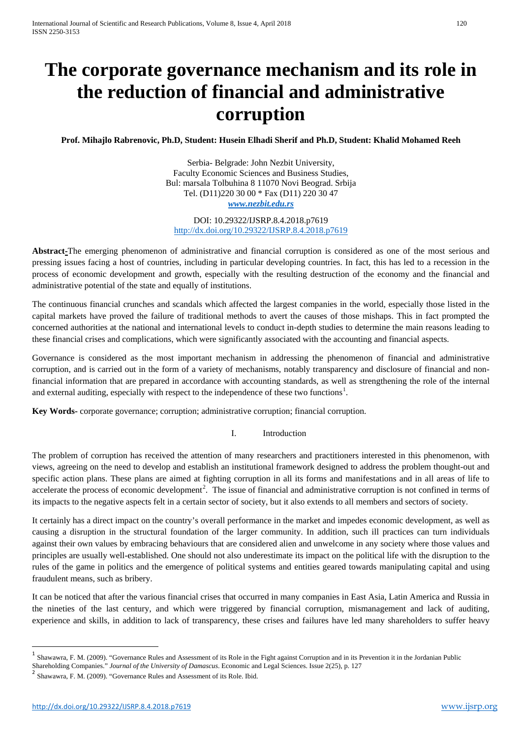# **The corporate governance mechanism and its role in the reduction of financial and administrative corruption**

**Prof. Mihajlo Rabrenovic, Ph.D, Student: Husein Elhadi Sherif and Ph.D, Student: Khalid Mohamed Reeh**

Serbia- Belgrade: John Nezbit University, Faculty Economic Sciences and Business Studies, Bul: marsala Tolbuhina 8 11070 Novi Beograd. Srbija Tel. (D11)220 30 00 \* Fax (D11) 220 30 47 *[www.nezbit.edu.rs](http://www.nezbit.edu.rs/)*

DOI: 10.29322/IJSRP.8.4.2018.p7619 <http://dx.doi.org/10.29322/IJSRP.8.4.2018.p7619>

**Abstract-**The emerging phenomenon of administrative and financial corruption is considered as one of the most serious and pressing issues facing a host of countries, including in particular developing countries. In fact, this has led to a recession in the process of economic development and growth, especially with the resulting destruction of the economy and the financial and administrative potential of the state and equally of institutions.

The continuous financial crunches and scandals which affected the largest companies in the world, especially those listed in the capital markets have proved the failure of traditional methods to avert the causes of those mishaps. This in fact prompted the concerned authorities at the national and international levels to conduct in-depth studies to determine the main reasons leading to these financial crises and complications, which were significantly associated with the accounting and financial aspects.

Governance is considered as the most important mechanism in addressing the phenomenon of financial and administrative corruption, and is carried out in the form of a variety of mechanisms, notably transparency and disclosure of financial and nonfinancial information that are prepared in accordance with accounting standards, as well as strengthening the role of the internal and external auditing, especially with respect to the independence of these two functions<sup>[1](#page-0-0)</sup>.

**Key Words-** corporate governance; corruption; administrative corruption; financial corruption.

## I. Introduction

The problem of corruption has received the attention of many researchers and practitioners interested in this phenomenon, with views, agreeing on the need to develop and establish an institutional framework designed to address the problem thought-out and specific action plans. These plans are aimed at fighting corruption in all its forms and manifestations and in all areas of life to accelerate the process of economic development<sup>[2](#page-0-1)</sup>. The issue of financial and administrative corruption is not confined in terms of its impacts to the negative aspects felt in a certain sector of society, but it also extends to all members and sectors of society.

It certainly has a direct impact on the country's overall performance in the market and impedes economic development, as well as causing a disruption in the structural foundation of the larger community. In addition, such ill practices can turn individuals against their own values by embracing behaviours that are considered alien and unwelcome in any society where those values and principles are usually well-established. One should not also underestimate its impact on the political life with the disruption to the rules of the game in politics and the emergence of political systems and entities geared towards manipulating capital and using fraudulent means, such as bribery.

<span id="page-0-2"></span>It can be noticed that after the various financial crises that occurred in many companies in East Asia, Latin America and Russia in the nineties of the last century, and which were triggered by financial corruption, mismanagement and lack of auditing, experience and skills, in addition to lack of transparency, these crises and failures have led many shareholders to suffer heavy

<span id="page-0-0"></span><sup>&</sup>lt;sup>1</sup> Shawawra, F. M. (2009). "Governance Rules and Assessment of its Role in the Fight against Corruption and in its Prevention it in the Jordanian Public

Shareholding Companies." *Journal of the University of Damascus*. Economic and Legal Sciences. Issue 2(25), p. 127<br><sup>2</sup> Shawawra, F. M. (2009). "Governance Rules and Assessment of its Role. Ibid.

<span id="page-0-1"></span>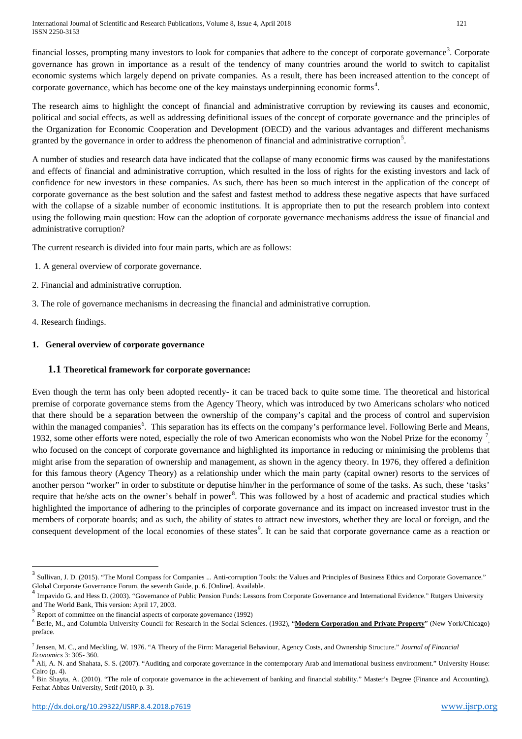International Journal of Scientific and Research Publications, Volume 8, Issue 4, April 2018 121 ISSN 2250-3153

financial losses, prompting many investors to look for companies that adhere to the concept of corporate governance<sup>[3](#page-0-2)</sup>. Corporate governance has grown in importance as a result of the tendency of many countries around the world to switch to capitalist economic systems which largely depend on private companies. As a result, there has been increased attention to the concept of corporate governance, which has become one of the key mainstays underpinning economic forms<sup>[4](#page-1-0)</sup>.

The research aims to highlight the concept of financial and administrative corruption by reviewing its causes and economic, political and social effects, as well as addressing definitional issues of the concept of corporate governance and the principles of the Organization for Economic Cooperation and Development (OECD) and the various advantages and different mechanisms granted by the governance in order to address the phenomenon of financial and administrative corruption<sup>[5](#page-1-1)</sup>.

A number of studies and research data have indicated that the collapse of many economic firms was caused by the manifestations and effects of financial and administrative corruption, which resulted in the loss of rights for the existing investors and lack of confidence for new investors in these companies. As such, there has been so much interest in the application of the concept of corporate governance as the best solution and the safest and fastest method to address these negative aspects that have surfaced with the collapse of a sizable number of economic institutions. It is appropriate then to put the research problem into context using the following main question: How can the adoption of corporate governance mechanisms address the issue of financial and administrative corruption?

The current research is divided into four main parts, which are as follows:

- 1. A general overview of corporate governance.
- 2. Financial and administrative corruption.
- 3. The role of governance mechanisms in decreasing the financial and administrative corruption.
- 4. Research findings.

## **1. General overview of corporate governance**

## **1.1 Theoretical framework for corporate governance:**

Even though the term has only been adopted recently- it can be traced back to quite some time. The theoretical and historical premise of corporate governance stems from the Agency Theory, which was introduced by two Americans scholars who noticed that there should be a separation between the ownership of the company's capital and the process of control and supervision within the managed companies<sup>[6](#page-1-2)</sup>. This separation has its effects on the company's performance level. Following Berle and Means, 1932, some other efforts were noted, especially the role of two American economists who won the Nobel Prize for the economy  $\frac{7}{1}$  $\frac{7}{1}$  $\frac{7}{1}$ who focused on the concept of corporate governance and highlighted its importance in reducing or minimising the problems that might arise from the separation of ownership and management, as shown in the agency theory. In 1976, they offered a definition for this famous theory (Agency Theory) as a relationship under which the main party (capital owner) resorts to the services of another person "worker" in order to substitute or deputise him/her in the performance of some of the tasks. As such, these 'tasks' require that he/she acts on the owner's behalf in power<sup>[8](#page-1-4)</sup>. This was followed by a host of academic and practical studies which highlighted the importance of adhering to the principles of corporate governance and its impact on increased investor trust in the members of corporate boards; and as such, the ability of states to attract new investors, whether they are local or foreign, and the consequent development of the local economies of these states<sup>[9](#page-1-5)</sup>. It can be said that corporate governance came as a reaction or

 <sup>3</sup> Sullivan, J. D. (2015). "The Moral Compass for Companies ... Anti-corruption Tools: the Values and Principles of Business Ethics and Corporate Governance."

<span id="page-1-0"></span>Global Corporate Governance Forum, the seventh Guide, p. 6. [Online]. Available.<br><sup>4</sup> Impavido G. and Hess D. (2003). "Governance of Public Pension Funds: Lessons from Corporate Governance and International Evidence." Rutge

<span id="page-1-6"></span><span id="page-1-1"></span>Report of committee on the financial aspects of corporate governance (1992)

<span id="page-1-2"></span><sup>6</sup> Berle, M., and Columbia University Council for Research in the Social Sciences. (1932), "**Modern Corporation and Private Property**" (New York/Chicago) preface.

<span id="page-1-3"></span><sup>7</sup> Jensen, M. C., and Meckling, W. 1976. "A Theory of the Firm: Managerial Behaviour, Agency Costs, and Ownership Structure." *Journal of Financial Economics* 3: 305- 360.

<span id="page-1-4"></span><sup>8</sup> Ali, A. N. and Shahata, S. S. (2007). "Auditing and corporate governance in the contemporary Arab and international business environment." University House: Cairo (p. 4).

<span id="page-1-5"></span><sup>9</sup> Bin Shayta, A. (2010). "The role of corporate governance in the achievement of banking and financial stability." Master's Degree (Finance and Accounting). Ferhat Abbas University, Setif (2010, p. 3).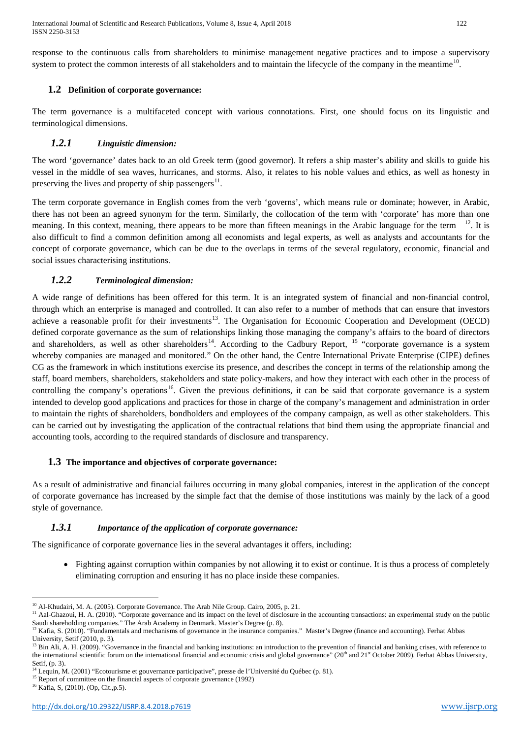International Journal of Scientific and Research Publications, Volume 8, Issue 4, April 2018 122 ISSN 2250-3153

response to the continuous calls from shareholders to minimise management negative practices and to impose a supervisory system to protect the common interests of all stakeholders and to maintain the lifecycle of the company in the meantime<sup>10</sup>.

## **1.2 Definition of corporate governance:**

The term governance is a multifaceted concept with various connotations. First, one should focus on its linguistic and terminological dimensions.

## *1.2.1 Linguistic dimension:*

The word 'governance' dates back to an old Greek term (good governor). It refers a ship master's ability and skills to guide his vessel in the middle of sea waves, hurricanes, and storms. Also, it relates to his noble values and ethics, as well as honesty in preserving the lives and property of ship passengers $^{11}$  $^{11}$  $^{11}$ .

The term corporate governance in English comes from the verb 'governs', which means rule or dominate; however, in Arabic, there has not been an agreed synonym for the term. Similarly, the collocation of the term with 'corporate' has more than one meaning. In this context, meaning, there appears to be more than fifteen meanings in the Arabic language for the term  $12$ . It is also difficult to find a common definition among all economists and legal experts, as well as analysts and accountants for the concept of corporate governance, which can be due to the overlaps in terms of the several regulatory, economic, financial and social issues characterising institutions.

## *1.2.2 Terminological dimension:*

A wide range of definitions has been offered for this term. It is an integrated system of financial and non-financial control, through which an enterprise is managed and controlled. It can also refer to a number of methods that can ensure that investors achieve a reasonable profit for their investments<sup>13</sup>. The Organisation for Economic Cooperation and Development (OECD) defined corporate governance as the sum of relationships linking those managing the company's affairs to the board of directors and shareholders, as well as other shareholders<sup>[14](#page-2-3)</sup>. According to the Cadbury Report, <sup>[15](#page-2-4)</sup> "corporate governance is a system whereby companies are managed and monitored." On the other hand, the Centre International Private Enterprise (CIPE) defines CG as the framework in which institutions exercise its presence, and describes the concept in terms of the relationship among the staff, board members, shareholders, stakeholders and state policy-makers, and how they interact with each other in the process of controlling the company's operations<sup>16</sup>. Given the previous definitions, it can be said that corporate governance is a system intended to develop good applications and practices for those in charge of the company's management and administration in order to maintain the rights of shareholders, bondholders and employees of the company campaign, as well as other stakeholders. This can be carried out by investigating the application of the contractual relations that bind them using the appropriate financial and accounting tools, according to the required standards of disclosure and transparency.

## **1.3 The importance and objectives of corporate governance:**

As a result of administrative and financial failures occurring in many global companies, interest in the application of the concept of corporate governance has increased by the simple fact that the demise of those institutions was mainly by the lack of a good style of governance.

## *1.3.1 Importance of the application of corporate governance:*

The significance of corporate governance lies in the several advantages it offers, including:

• Fighting against corruption within companies by not allowing it to exist or continue. It is thus a process of completely eliminating corruption and ensuring it has no place inside these companies.

<sup>&</sup>lt;u>.</u> <sup>10</sup> Al-Khudairi, M. A. (2005). Corporate Governance. The Arab Nile Group. Cairo, 2005, p. 21.

<span id="page-2-0"></span><sup>&</sup>lt;sup>11</sup> Aal-Ghazoui, H. A. (2010). "Corporate governance and its impact on the level of disclosure in the accounting transactions: an experimental study on the public Saudi shareholding companies." The Arab Academy in Denmark. Master's Degree (p. 8).

<span id="page-2-1"></span> $12$  Kafia, S. (2010). "Fundamentals and mechanisms of governance in the insurance companies." Master's Degree (finance and accounting). Ferhat Abbas University, Setif (2010, p. 3).

<span id="page-2-6"></span><span id="page-2-2"></span><sup>13</sup> Bin Ali, A. H. (2009). "Governance in the financial and banking institutions: an introduction to the prevention of financial and banking crises, with reference to the international scientific forum on the international financial and economic crisis and global governance"  $(20<sup>th</sup>$  and  $21<sup>st</sup>$  October 2009). Ferhat Abbas University, Setif, (p. 3).

<sup>14</sup> Lequin, M. (2001) "Ecotourisme et gouvernance participative", presse de l'Université du Québec (p. 81).

<span id="page-2-4"></span><span id="page-2-3"></span><sup>&</sup>lt;sup>15</sup> Report of committee on the financial aspects of corporate governance (1992)

<span id="page-2-5"></span><sup>16</sup> Kafia, S, (2010). (Op, Cit.,p.5).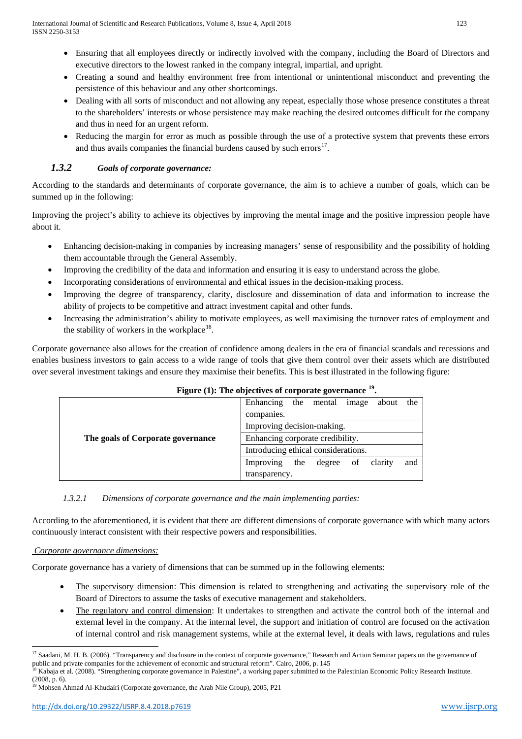- Ensuring that all employees directly or indirectly involved with the company, including the Board of Directors and executive directors to the lowest ranked in the company integral, impartial, and upright.
- Creating a sound and healthy environment free from intentional or unintentional misconduct and preventing the persistence of this behaviour and any other shortcomings.
- Dealing with all sorts of misconduct and not allowing any repeat, especially those whose presence constitutes a threat to the shareholders' interests or whose persistence may make reaching the desired outcomes difficult for the company and thus in need for an urgent reform.
- Reducing the margin for error as much as possible through the use of a protective system that prevents these errors and thus avails companies the financial burdens caused by such errors $17$ .

# *1.3.2 Goals of corporate governance:*

According to the standards and determinants of corporate governance, the aim is to achieve a number of goals, which can be summed up in the following:

Improving the project's ability to achieve its objectives by improving the mental image and the positive impression people have about it.

- Enhancing decision-making in companies by increasing managers' sense of responsibility and the possibility of holding them accountable through the General Assembly.
- Improving the credibility of the data and information and ensuring it is easy to understand across the globe.
- Incorporating considerations of environmental and ethical issues in the decision-making process.
- Improving the degree of transparency, clarity, disclosure and dissemination of data and information to increase the ability of projects to be competitive and attract investment capital and other funds.
- Increasing the administration's ability to motivate employees, as well maximising the turnover rates of employment and the stability of workers in the workplace $18$ .

Corporate governance also allows for the creation of confidence among dealers in the era of financial scandals and recessions and enables business investors to gain access to a wide range of tools that give them control over their assets which are distributed over several investment takings and ensure they maximise their benefits. This is best illustrated in the following figure:

| $\frac{1}{2}$ $\frac{1}{2}$ $\frac{1}{2}$ $\frac{1}{2}$ $\frac{1}{2}$ $\frac{1}{2}$ $\frac{1}{2}$ $\frac{1}{2}$ $\frac{1}{2}$ $\frac{1}{2}$ $\frac{1}{2}$ $\frac{1}{2}$ $\frac{1}{2}$ $\frac{1}{2}$ $\frac{1}{2}$ $\frac{1}{2}$ $\frac{1}{2}$ $\frac{1}{2}$ $\frac{1}{2}$ $\frac{1}{2}$ $\frac{1}{2}$ $\frac{1}{2}$ |                                                    |
|---------------------------------------------------------------------------------------------------------------------------------------------------------------------------------------------------------------------------------------------------------------------------------------------------------------------|----------------------------------------------------|
| The goals of Corporate governance                                                                                                                                                                                                                                                                                   | Enhancing<br>the mental<br>the<br>image<br>about   |
|                                                                                                                                                                                                                                                                                                                     | companies.                                         |
|                                                                                                                                                                                                                                                                                                                     | Improving decision-making.                         |
|                                                                                                                                                                                                                                                                                                                     | Enhancing corporate credibility.                   |
|                                                                                                                                                                                                                                                                                                                     | Introducing ethical considerations.                |
|                                                                                                                                                                                                                                                                                                                     | and<br>Improving<br>the<br>clarity<br>of<br>degree |
|                                                                                                                                                                                                                                                                                                                     | transparency.                                      |

## **Figure (1): The objectives of corporate governance [19](#page-3-1).**

## *1.3.2.1 Dimensions of corporate governance and the main implementing parties:*

According to the aforementioned, it is evident that there are different dimensions of corporate governance with which many actors continuously interact consistent with their respective powers and responsibilities.

## *Corporate governance dimensions:*

Corporate governance has a variety of dimensions that can be summed up in the following elements:

- The supervisory dimension: This dimension is related to strengthening and activating the supervisory role of the Board of Directors to assume the tasks of executive management and stakeholders.
- The regulatory and control dimension: It undertakes to strengthen and activate the control both of the internal and external level in the company. At the internal level, the support and initiation of control are focused on the activation of internal control and risk management systems, while at the external level, it deals with laws, regulations and rules

<span id="page-3-2"></span><sup>&</sup>lt;u>.</u> <sup>17</sup> Saadani, M. H. B. (2006). "Transparency and disclosure in the context of corporate governance," Research and Action Seminar papers on the governance of public and private companies for the achievement of economic and structural reform". Cairo, 2006, p. 145

<span id="page-3-0"></span><sup>18</sup> Kabaja et al. (2008). "Strengthening corporate governance in Palestine", a working paper submitted to the Palestinian Economic Policy Research Institute.  $(2008, p. 6)$ 

<span id="page-3-1"></span><sup>&</sup>lt;sup>19</sup> Mohsen Ahmad Al-Khudairi (Corporate governance, the Arab Nile Group), 2005, P21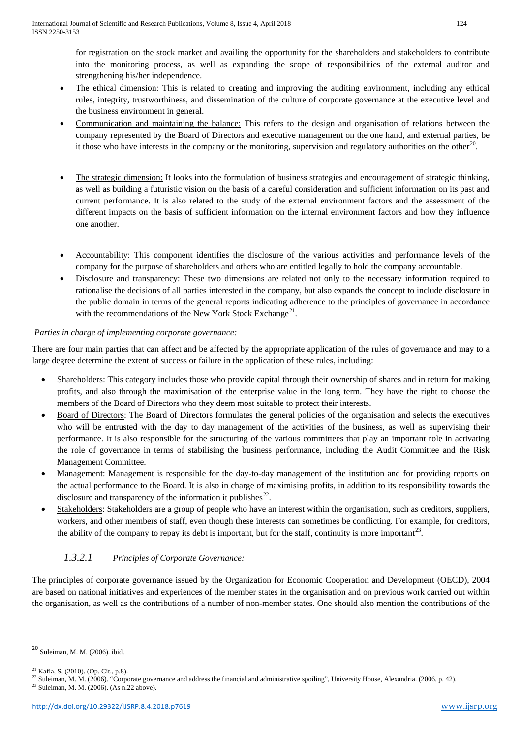for registration on the stock market and availing the opportunity for the shareholders and stakeholders to contribute into the monitoring process, as well as expanding the scope of responsibilities of the external auditor and strengthening his/her independence.

- The ethical dimension: This is related to creating and improving the auditing environment, including any ethical rules, integrity, trustworthiness, and dissemination of the culture of corporate governance at the executive level and the business environment in general.
- Communication and maintaining the balance: This refers to the design and organisation of relations between the company represented by the Board of Directors and executive management on the one hand, and external parties, be it those who have interests in the company or the monitoring, supervision and regulatory authorities on the other $^{20}$ .
- The strategic dimension: It looks into the formulation of business strategies and encouragement of strategic thinking, as well as building a futuristic vision on the basis of a careful consideration and sufficient information on its past and current performance. It is also related to the study of the external environment factors and the assessment of the different impacts on the basis of sufficient information on the internal environment factors and how they influence one another.
- Accountability: This component identifies the disclosure of the various activities and performance levels of the company for the purpose of shareholders and others who are entitled legally to hold the company accountable.
- Disclosure and transparency: These two dimensions are related not only to the necessary information required to rationalise the decisions of all parties interested in the company, but also expands the concept to include disclosure in the public domain in terms of the general reports indicating adherence to the principles of governance in accordance with the recommendations of the New York Stock Exchange<sup>21</sup>.

# *Parties in charge of implementing corporate governance:*

There are four main parties that can affect and be affected by the appropriate application of the rules of governance and may to a large degree determine the extent of success or failure in the application of these rules, including:

- Shareholders: This category includes those who provide capital through their ownership of shares and in return for making profits, and also through the maximisation of the enterprise value in the long term. They have the right to choose the members of the Board of Directors who they deem most suitable to protect their interests.
- Board of Directors: The Board of Directors formulates the general policies of the organisation and selects the executives who will be entrusted with the day to day management of the activities of the business, as well as supervising their performance. It is also responsible for the structuring of the various committees that play an important role in activating the role of governance in terms of stabilising the business performance, including the Audit Committee and the Risk Management Committee.
- Management: Management is responsible for the day-to-day management of the institution and for providing reports on the actual performance to the Board. It is also in charge of maximising profits, in addition to its responsibility towards the disclosure and transparency of the information it publishes<sup>22</sup>.
- Stakeholders: Stakeholders are a group of people who have an interest within the organisation, such as creditors, suppliers, workers, and other members of staff, even though these interests can sometimes be conflicting. For example, for creditors, the ability of the company to repay its debt is important, but for the staff, continuity is more important<sup>[23](#page-4-2)</sup>.

# *1.3.2.1 Principles of Corporate Governance:*

The principles of corporate governance issued by the Organization for Economic Cooperation and Development (OECD), 2004 are based on national initiatives and experiences of the member states in the organisation and on previous work carried out within the organisation, as well as the contributions of a number of non-member states. One should also mention the contributions of the

<span id="page-4-3"></span> <sup>20</sup> Suleiman, M. M. (2006). ibid.

<sup>21</sup> Kafia, S, (2010). (Op. Cit., p.8).

<span id="page-4-1"></span><span id="page-4-0"></span><sup>&</sup>lt;sup>22</sup> Suleiman, M. M. (2006). "Corporate governance and address the financial and administrative spoiling", University House, Alexandria. (2006, p. 42).

<span id="page-4-2"></span><sup>23</sup> Suleiman, M. M. (2006). (As n.22 above).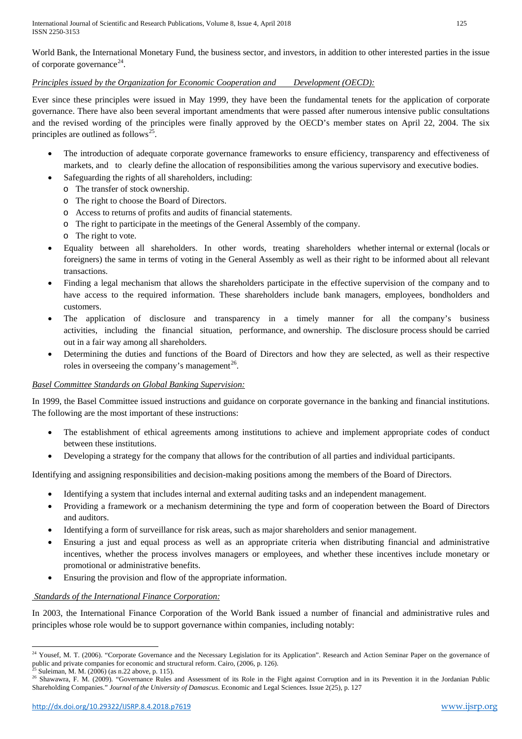International Journal of Scientific and Research Publications, Volume 8, Issue 4, April 2018 125 ISSN 2250-3153

World Bank, the International Monetary Fund, the business sector, and investors, in addition to other interested parties in the issue of corporate governance<sup>24</sup>.

## *Principles issued by the Organization for Economic Cooperation and Development (OECD):*

Ever since these principles were issued in May 1999, they have been the fundamental tenets for the application of corporate governance. There have also been several important amendments that were passed after numerous intensive public consultations and the revised wording of the principles were finally approved by the OECD's member states on April 22, 2004. The six principles are outlined as follows<sup>[25](#page-5-0)</sup>.

- The introduction of adequate corporate governance frameworks to ensure efficiency, transparency and effectiveness of markets, and to clearly define the allocation of responsibilities among the various supervisory and executive bodies.
- Safeguarding the rights of all shareholders, including:
	- o The transfer of stock ownership.
	- o The right to choose the Board of Directors.
	- o Access to returns of profits and audits of financial statements.
	- o The right to participate in the meetings of the General Assembly of the company.
	- o The right to vote.
- Equality between all shareholders. In other words, treating shareholders whether internal or external (locals or foreigners) the same in terms of voting in the General Assembly as well as their right to be informed about all relevant transactions.
- Finding a legal mechanism that allows the shareholders participate in the effective supervision of the company and to have access to the required information. These shareholders include bank managers, employees, bondholders and customers.
- The application of disclosure and transparency in a timely manner for all the company's business activities, including the financial situation, performance, and ownership. The disclosure process should be carried out in a fair way among all shareholders.
- Determining the duties and functions of the Board of Directors and how they are selected, as well as their respective roles in overseeing the company's management<sup>26</sup>.

# *Basel Committee Standards on Global Banking Supervision:*

In 1999, the Basel Committee issued instructions and guidance on corporate governance in the banking and financial institutions. The following are the most important of these instructions:

- The establishment of ethical agreements among institutions to achieve and implement appropriate codes of conduct between these institutions.
- Developing a strategy for the company that allows for the contribution of all parties and individual participants.

Identifying and assigning responsibilities and decision-making positions among the members of the Board of Directors.

- Identifying a system that includes internal and external auditing tasks and an independent management.
- Providing a framework or a mechanism determining the type and form of cooperation between the Board of Directors and auditors.
- Identifying a form of surveillance for risk areas, such as major shareholders and senior management.
- Ensuring a just and equal process as well as an appropriate criteria when distributing financial and administrative incentives, whether the process involves managers or employees, and whether these incentives include monetary or promotional or administrative benefits.
- Ensuring the provision and flow of the appropriate information.

# *Standards of the International Finance Corporation:*

In 2003, the International Finance Corporation of the World Bank issued a number of financial and administrative rules and principles whose role would be to support governance within companies, including notably:

<u>.</u>

<span id="page-5-2"></span><sup>&</sup>lt;sup>24</sup> Yousef, M. T. (2006). "Corporate Governance and the Necessary Legislation for its Application". Research and Action Seminar Paper on the governance of public and private companies for economic and structural reform. Cairo, (2006, p. 126). Suleiman, M. M. (2006) (as n.22 above, p. 115).

<span id="page-5-1"></span><span id="page-5-0"></span> $\frac{26}{26}$  Shawawra, F. M. (2009). "Governance Rules and Assessment of its Role in the Fight against Corruption and in its Prevention it in the Jordanian Public Shareholding Companies." *Journal of the University of Damascus*. Economic and Legal Sciences. Issue 2(25), p. 127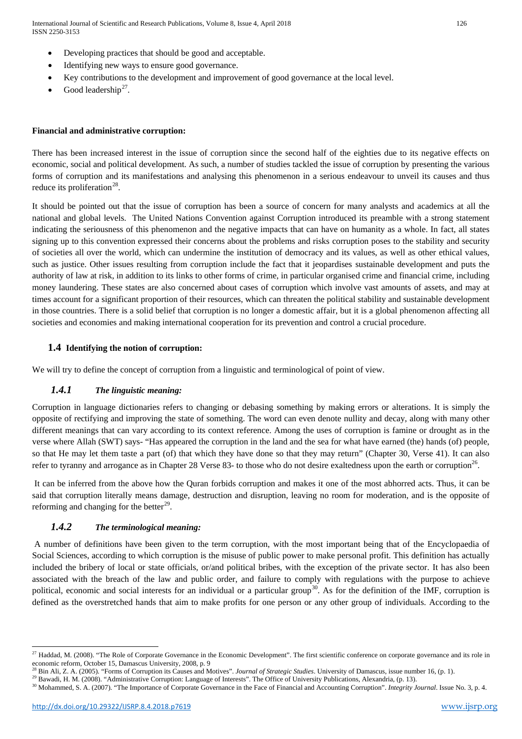International Journal of Scientific and Research Publications, Volume 8, Issue 4, April 2018 126 ISSN 2250-3153

- Developing practices that should be good and acceptable.
- Identifying new ways to ensure good governance.
- Key contributions to the development and improvement of good governance at the local level.
- Good leadership<sup>27</sup>.

# **Financial and administrative corruption:**

There has been increased interest in the issue of corruption since the second half of the eighties due to its negative effects on economic, social and political development. As such, a number of studies tackled the issue of corruption by presenting the various forms of corruption and its manifestations and analysing this phenomenon in a serious endeavour to unveil its causes and thus reduce its proliferation<sup>28</sup>.

It should be pointed out that the issue of corruption has been a source of concern for many analysts and academics at all the national and global levels. The United Nations Convention against Corruption introduced its preamble with a strong statement indicating the seriousness of this phenomenon and the negative impacts that can have on humanity as a whole. In fact, all states signing up to this convention expressed their concerns about the problems and risks corruption poses to the stability and security of societies all over the world, which can undermine the institution of democracy and its values, as well as other ethical values, such as justice. Other issues resulting from corruption include the fact that it jeopardises sustainable development and puts the authority of law at risk, in addition to its links to other forms of crime, in particular organised crime and financial crime, including money laundering. These states are also concerned about cases of corruption which involve vast amounts of assets, and may at times account for a significant proportion of their resources, which can threaten the political stability and sustainable development in those countries. There is a solid belief that corruption is no longer a domestic affair, but it is a global phenomenon affecting all societies and economies and making international cooperation for its prevention and control a crucial procedure.

## **1.4 Identifying the notion of corruption:**

We will try to define the concept of corruption from a linguistic and terminological of point of view.

# *1.4.1 The linguistic meaning:*

Corruption in language dictionaries refers to changing or debasing something by making errors or alterations. It is simply the opposite of rectifying and improving the state of something. The word can even denote nullity and decay, along with many other different meanings that can vary according to its context reference. Among the uses of corruption is famine or drought as in the verse where Allah (SWT) says- "Has appeared the corruption in the land and the sea for what have earned (the) hands (of) people, so that He may let them taste a part (of) that which they have done so that they may return" (Chapter 30, Verse 41). It can also refer to tyranny and arrogance as in Chapter 28 Verse 83- to those who do not desire exaltedness upon the earth or corruption<sup>26</sup>.

It can be inferred from the above how the Quran forbids corruption and makes it one of the most abhorred acts. Thus, it can be said that corruption literally means damage, destruction and disruption, leaving no room for moderation, and is the opposite of reforming and changing for the better $^{29}$ .

# *1.4.2 The terminological meaning:*

A number of definitions have been given to the term corruption, with the most important being that of the Encyclopaedia of Social Sciences, according to which corruption is the misuse of public power to make personal profit. This definition has actually included the bribery of local or state officials, or/and political bribes, with the exception of the private sector. It has also been associated with the breach of the law and public order, and failure to comply with regulations with the purpose to achieve political, economic and social interests for an individual or a particular group<sup>[30](#page-6-2)</sup>. As for the definition of the IMF, corruption is defined as the overstretched hands that aim to make profits for one person or any other group of individuals. According to the

<span id="page-6-3"></span><u>.</u>

<sup>&</sup>lt;sup>27</sup> Haddad, M. (2008). "The Role of Corporate Governance in the Economic Development". The first scientific conference on corporate governance and its role in economic reform, October 15, Damascus University, 2008, p. 9

<sup>28</sup> Bin Ali, Z. A. (2005). "Forms of Corruption its Causes and Motives". *Journal of Strategic Studies*. University of Damascus, issue number 16, (p. 1).

<span id="page-6-1"></span><span id="page-6-0"></span><sup>&</sup>lt;sup>29</sup> Bawadi, H. M. (2008). "Administrative Corruption: Language of Interests". The Office of University Publications, Alexandria, (p. 13).

<span id="page-6-2"></span><sup>&</sup>lt;sup>30</sup> Mohammed, S. A. (2007). "The Importance of Corporate Governance in the Face of Financial and Accounting Corruption". *Integrity Journal*. Issue No. 3, p. 4.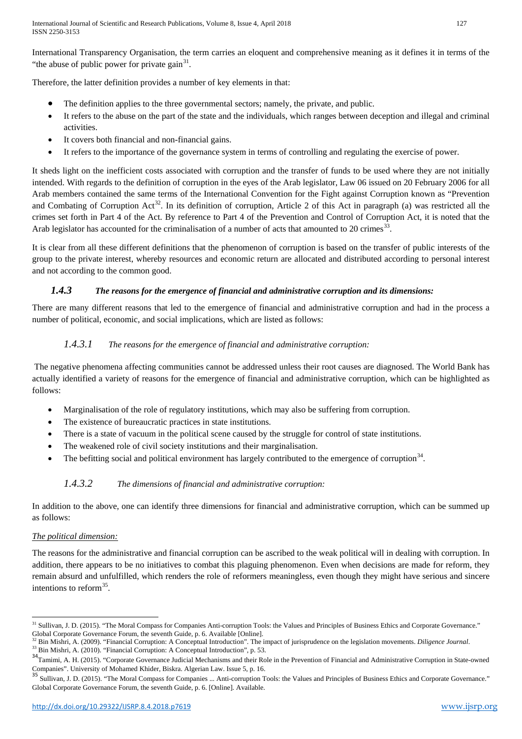International Transparency Organisation, the term carries an eloquent and comprehensive meaning as it defines it in terms of the "the abuse of public power for private gain<sup>31</sup>.

Therefore, the latter definition provides a number of key elements in that:

- The definition applies to the three governmental sectors; namely, the private, and public.
- It refers to the abuse on the part of the state and the individuals, which ranges between deception and illegal and criminal activities.
- It covers both financial and non-financial gains.
- It refers to the importance of the governance system in terms of controlling and regulating the exercise of power.

It sheds light on the inefficient costs associated with corruption and the transfer of funds to be used where they are not initially intended. With regards to the definition of corruption in the eyes of the Arab legislator, Law 06 issued on 20 February 2006 for all Arab members contained the same terms of the International Convention for the Fight against Corruption known as "Prevention and Combating of Corruption Act<sup>[32](#page-7-0)</sup>. In its definition of corruption, Article 2 of this Act in paragraph (a) was restricted all the crimes set forth in Part 4 of the Act. By reference to Part 4 of the Prevention and Control of Corruption Act, it is noted that the Arab legislator has accounted for the criminalisation of a number of acts that amounted to 20 crimes<sup>33</sup>.

It is clear from all these different definitions that the phenomenon of corruption is based on the transfer of public interests of the group to the private interest, whereby resources and economic return are allocated and distributed according to personal interest and not according to the common good.

# *1.4.3 The reasons for the emergence of financial and administrative corruption and its dimensions:*

There are many different reasons that led to the emergence of financial and administrative corruption and had in the process a number of political, economic, and social implications, which are listed as follows:

# *1.4.3.1 The reasons for the emergence of financial and administrative corruption:*

The negative phenomena affecting communities cannot be addressed unless their root causes are diagnosed. The World Bank has actually identified a variety of reasons for the emergence of financial and administrative corruption, which can be highlighted as follows:

- Marginalisation of the role of regulatory institutions, which may also be suffering from corruption.
- The existence of bureaucratic practices in state institutions.
- There is a state of vacuum in the political scene caused by the struggle for control of state institutions.
- The weakened role of civil society institutions and their marginalisation.
- The befitting social and political environment has largely contributed to the emergence of corruption<sup>34</sup>.

# *1.4.3.2 The dimensions of financial and administrative corruption:*

In addition to the above, one can identify three dimensions for financial and administrative corruption, which can be summed up as follows:

# *The political dimension:*

The reasons for the administrative and financial corruption can be ascribed to the weak political will in dealing with corruption. In addition, there appears to be no initiatives to combat this plaguing phenomenon. Even when decisions are made for reform, they remain absurd and unfulfilled, which renders the role of reformers meaningless, even though they might have serious and sincere intentions to reform  $35$ .

<span id="page-7-4"></span>**<sup>.</sup>** <sup>31</sup> Sullivan, J. D. (2015). "The Moral Compass for Companies Anti-corruption Tools: the Values and Principles of Business Ethics and Corporate Governance." Global Corporate Governance Forum, the seventh Guide, p. 6. Available [Online].

<span id="page-7-0"></span><sup>&</sup>lt;sup>32</sup> Bin Mishri, A. (2009). "Financial Corruption: A Conceptual Introduction". The impact of jurisprudence on the legislation movements. *Diligence Journal*.<br><sup>33</sup> Bin Mishri, A. (2010). "Financial Corruption: A Conceptual

<span id="page-7-1"></span>

<span id="page-7-2"></span><sup>&</sup>lt;sup>34</sup>Tamimi, A. H. (2015). "Corporate Governance Judicial Mechanisms and their Role in the Prevention of Financial and Administrative Corruption in State-owned

<span id="page-7-3"></span>Companies". University of Mohamed Khider, Biskra. Algerian Law. Issue 5, p. 16.<br><sup>35</sup> Sullivan, J. D. (2015). "The Moral Compass for Companies … Anti-corruption Tools: the Values and Principles of Business Ethics and Corpor Global Corporate Governance Forum, the seventh Guide, p. 6. [Online]. Available.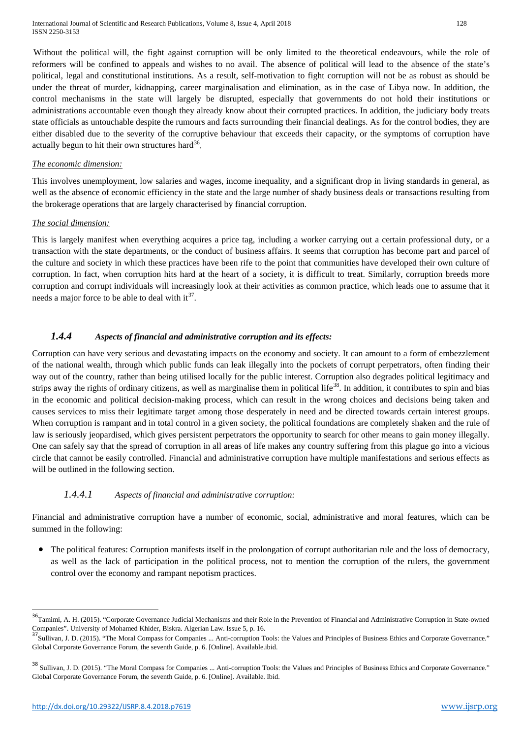Without the political will, the fight against corruption will be only limited to the theoretical endeavours, while the role of reformers will be confined to appeals and wishes to no avail. The absence of political will lead to the absence of the state's political, legal and constitutional institutions. As a result, self-motivation to fight corruption will not be as robust as should be under the threat of murder, kidnapping, career marginalisation and elimination, as in the case of Libya now. In addition, the control mechanisms in the state will largely be disrupted, especially that governments do not hold their institutions or administrations accountable even though they already know about their corrupted practices. In addition, the judiciary body treats state officials as untouchable despite the rumours and facts surrounding their financial dealings. As for the control bodies, they are either disabled due to the severity of the corruptive behaviour that exceeds their capacity, or the symptoms of corruption have actually begun to hit their own structures hard  $36$ .

#### *The economic dimension:*

This involves unemployment, low salaries and wages, income inequality, and a significant drop in living standards in general, as well as the absence of economic efficiency in the state and the large number of shady business deals or transactions resulting from the brokerage operations that are largely characterised by financial corruption.

#### *The social dimension:*

This is largely manifest when everything acquires a price tag, including a worker carrying out a certain professional duty, or a transaction with the state departments, or the conduct of business affairs. It seems that corruption has become part and parcel of the culture and society in which these practices have been rife to the point that communities have developed their own culture of corruption. In fact, when corruption hits hard at the heart of a society, it is difficult to treat. Similarly, corruption breeds more corruption and corrupt individuals will increasingly look at their activities as common practice, which leads one to assume that it needs a major force to be able to deal with  $it^{37}$  $it^{37}$  $it^{37}$ .

## *1.4.4 Aspects of financial and administrative corruption and its effects:*

Corruption can have very serious and devastating impacts on the economy and society. It can amount to a form of embezzlement of the national wealth, through which public funds can leak illegally into the pockets of corrupt perpetrators, often finding their way out of the country, rather than being utilised locally for the public interest. Corruption also degrades political legitimacy and strips away the rights of ordinary citizens, as well as marginalise them in political life<sup>[38](#page-8-1)</sup>. In addition, it contributes to spin and bias in the economic and political decision-making process, which can result in the wrong choices and decisions being taken and causes services to miss their legitimate target among those desperately in need and be directed towards certain interest groups. When corruption is rampant and in total control in a given society, the political foundations are completely shaken and the rule of law is seriously jeopardised, which gives persistent perpetrators the opportunity to search for other means to gain money illegally. One can safely say that the spread of corruption in all areas of life makes any country suffering from this plague go into a vicious circle that cannot be easily controlled. Financial and administrative corruption have multiple manifestations and serious effects as will be outlined in the following section.

# *1.4.4.1 Aspects of financial and administrative corruption:*

Financial and administrative corruption have a number of economic, social, administrative and moral features, which can be summed in the following:

• The political features: Corruption manifests itself in the prolongation of corrupt authoritarian rule and the loss of democracy, as well as the lack of participation in the political process, not to mention the corruption of the rulers, the government control over the economy and rampant nepotism practices.

<sup>&</sup>lt;sup>36</sup>Tamimi, A. H. (2015). "Corporate Governance Judicial Mechanisms and their Role in the Prevention of Financial and Administrative Corruption in State-owned Companies". University of Mohamed Khider, Biskra. Algerian Law. Issue 5, p. 16.

<span id="page-8-2"></span><span id="page-8-0"></span><sup>&</sup>lt;sup>7</sup>Sullivan, J. D. (2015). "The Moral Compass for Companies ... Anti-corruption Tools: the Values and Principles of Business Ethics and Corporate Governance." Global Corporate Governance Forum, the seventh Guide, p. 6. [Online]. Available.ibid.

<span id="page-8-1"></span><sup>&</sup>lt;sup>38</sup> Sullivan, J. D. (2015). "The Moral Compass for Companies ... Anti-corruption Tools: the Values and Principles of Business Ethics and Corporate Governance." Global Corporate Governance Forum, the seventh Guide, p. 6. [Online]. Available. Ibid.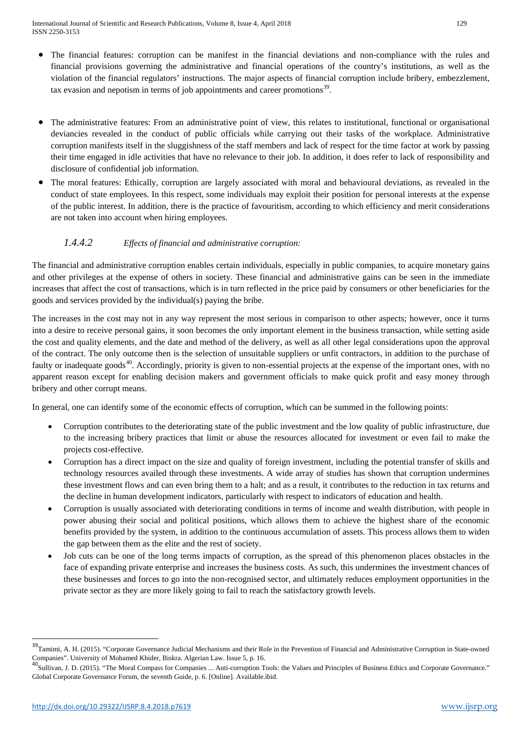- The financial features: corruption can be manifest in the financial deviations and non-compliance with the rules and financial provisions governing the administrative and financial operations of the country's institutions, as well as the violation of the financial regulators' instructions. The major aspects of financial corruption include bribery, embezzlement, tax evasion and nepotism in terms of job appointments and career promotions<sup>39</sup>.
- The administrative features: From an administrative point of view, this relates to institutional, functional or organisational deviancies revealed in the conduct of public officials while carrying out their tasks of the workplace. Administrative corruption manifests itself in the sluggishness of the staff members and lack of respect for the time factor at work by passing their time engaged in idle activities that have no relevance to their job. In addition, it does refer to lack of responsibility and disclosure of confidential job information.
- The moral features: Ethically, corruption are largely associated with moral and behavioural deviations, as revealed in the conduct of state employees. In this respect, some individuals may exploit their position for personal interests at the expense of the public interest. In addition, there is the practice of favouritism, according to which efficiency and merit considerations are not taken into account when hiring employees.

# *1.4.4.2 Effects of financial and administrative corruption:*

The financial and administrative corruption enables certain individuals, especially in public companies, to acquire monetary gains and other privileges at the expense of others in society. These financial and administrative gains can be seen in the immediate increases that affect the cost of transactions, which is in turn reflected in the price paid by consumers or other beneficiaries for the goods and services provided by the individual(s) paying the bribe.

The increases in the cost may not in any way represent the most serious in comparison to other aspects; however, once it turns into a desire to receive personal gains, it soon becomes the only important element in the business transaction, while setting aside the cost and quality elements, and the date and method of the delivery, as well as all other legal considerations upon the approval of the contract. The only outcome then is the selection of unsuitable suppliers or unfit contractors, in addition to the purchase of faulty or inadequate goods<sup>40</sup>. Accordingly, priority is given to non-essential projects at the expense of the important ones, with no apparent reason except for enabling decision makers and government officials to make quick profit and easy money through bribery and other corrupt means.

In general, one can identify some of the economic effects of corruption, which can be summed in the following points:

- Corruption contributes to the deteriorating state of the public investment and the low quality of public infrastructure, due to the increasing bribery practices that limit or abuse the resources allocated for investment or even fail to make the projects cost-effective.
- Corruption has a direct impact on the size and quality of foreign investment, including the potential transfer of skills and technology resources availed through these investments. A wide array of studies has shown that corruption undermines these investment flows and can even bring them to a halt; and as a result, it contributes to the reduction in tax returns and the decline in human development indicators, particularly with respect to indicators of education and health.
- Corruption is usually associated with deteriorating conditions in terms of income and wealth distribution, with people in power abusing their social and political positions, which allows them to achieve the highest share of the economic benefits provided by the system, in addition to the continuous accumulation of assets. This process allows them to widen the gap between them as the elite and the rest of society.
- Job cuts can be one of the long terms impacts of corruption, as the spread of this phenomenon places obstacles in the face of expanding private enterprise and increases the business costs. As such, this undermines the investment chances of these businesses and forces to go into the non-recognised sector, and ultimately reduces employment opportunities in the private sector as they are more likely going to fail to reach the satisfactory growth levels.

<span id="page-9-1"></span><sup>&</sup>lt;sup>39</sup>Tamimi, A. H. (2015). "Corporate Governance Judicial Mechanisms and their Role in the Prevention of Financial and Administrative Corruption in State-owned Companies". University of Mohamed Khider, Biskra. Algerian Law. Issue 5, p. 16.

<span id="page-9-0"></span><sup>40</sup>Sullivan, J. D. (2015). "The Moral Compass for Companies ... Anti-corruption Tools: the Values and Principles of Business Ethics and Corporate Governance." Global Corporate Governance Forum, the seventh Guide, p. 6. [Online]. Available.ibid.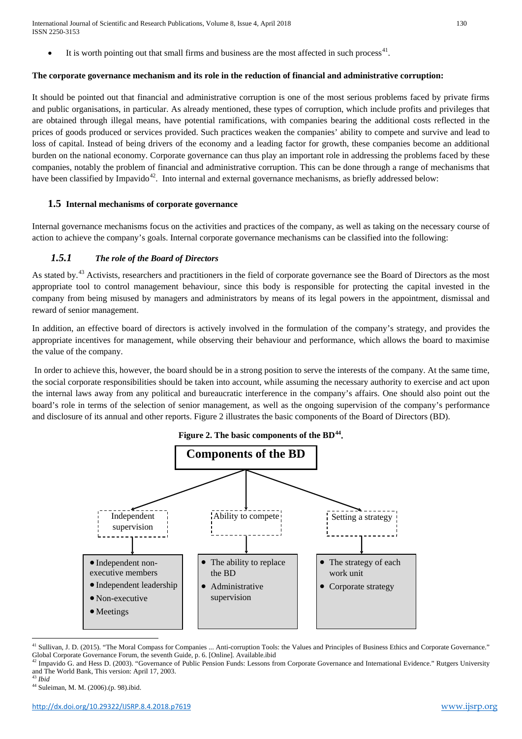International Journal of Scientific and Research Publications, Volume 8, Issue 4, April 2018 130 ISSN 2250-3153

 $\bullet$  It is worth pointing out that small firms and business are the most affected in such process<sup>41</sup>.

#### **The corporate governance mechanism and its role in the reduction of financial and administrative corruption:**

It should be pointed out that financial and administrative corruption is one of the most serious problems faced by private firms and public organisations, in particular. As already mentioned, these types of corruption, which include profits and privileges that are obtained through illegal means, have potential ramifications, with companies bearing the additional costs reflected in the prices of goods produced or services provided. Such practices weaken the companies' ability to compete and survive and lead to loss of capital. Instead of being drivers of the economy and a leading factor for growth, these companies become an additional burden on the national economy. Corporate governance can thus play an important role in addressing the problems faced by these companies, notably the problem of financial and administrative corruption. This can be done through a range of mechanisms that have been classified by Impavido<sup>42</sup>. Into internal and external governance mechanisms, as briefly addressed below:

#### **1.5 Internal mechanisms of corporate governance**

Internal governance mechanisms focus on the activities and practices of the company, as well as taking on the necessary course of action to achieve the company's goals. Internal corporate governance mechanisms can be classified into the following:

# *1.5.1 The role of the Board of Directors*

As stated by.<sup>[43](#page-10-1)</sup> Activists, researchers and practitioners in the field of corporate governance see the Board of Directors as the most appropriate tool to control management behaviour, since this body is responsible for protecting the capital invested in the company from being misused by managers and administrators by means of its legal powers in the appointment, dismissal and reward of senior management.

In addition, an effective board of directors is actively involved in the formulation of the company's strategy, and provides the appropriate incentives for management, while observing their behaviour and performance, which allows the board to maximise the value of the company.

In order to achieve this, however, the board should be in a strong position to serve the interests of the company. At the same time, the social corporate responsibilities should be taken into account, while assuming the necessary authority to exercise and act upon the internal laws away from any political and bureaucratic interference in the company's affairs. One should also point out the board's role in terms of the selection of senior management, as well as the ongoing supervision of the company's performance and disclosure of its annual and other reports. Figure 2 illustrates the basic components of the Board of Directors (BD).



<sup>&</sup>lt;sup>41</sup> Sullivan, J. D. (2015). "The Moral Compass for Companies ... Anti-corruption Tools: the Values and Principles of Business Ethics and Corporate Governance." Global Corporate Governance Forum, the seventh Guide, p. 6. [Online]. Available.ibid

<span id="page-10-3"></span>**.** 

<span id="page-10-0"></span><sup>&</sup>lt;sup>42</sup> Impavido G. and Hess D. (2003). "Governance of Public Pension Funds: Lessons from Corporate Governance and International Evidence." Rutgers University and The World Bank, This version: April 17, 2003.

<span id="page-10-2"></span><span id="page-10-1"></span><sup>43</sup> *Ibid* <sup>44</sup> Suleiman, M. M. (2006).(p. 98).ibid.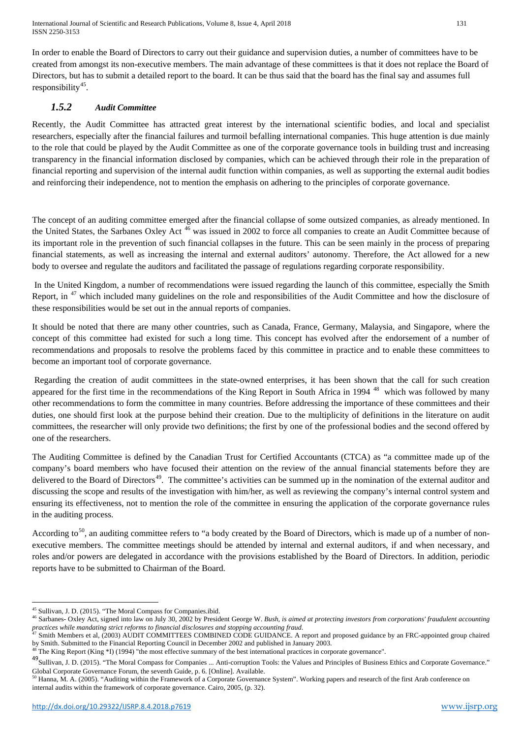In order to enable the Board of Directors to carry out their guidance and supervision duties, a number of committees have to be created from amongst its non-executive members. The main advantage of these committees is that it does not replace the Board of Directors, but has to submit a detailed report to the board. It can be thus said that the board has the final say and assumes full responsibility<sup>[45](#page-10-3)</sup>.

# *1.5.2 Audit Committee*

Recently, the Audit Committee has attracted great interest by the international scientific bodies, and local and specialist researchers, especially after the financial failures and turmoil befalling international companies. This huge attention is due mainly to the role that could be played by the Audit Committee as one of the corporate governance tools in building trust and increasing transparency in the financial information disclosed by companies, which can be achieved through their role in the preparation of financial reporting and supervision of the internal audit function within companies, as well as supporting the external audit bodies and reinforcing their independence, not to mention the emphasis on adhering to the principles of corporate governance.

The concept of an auditing committee emerged after the financial collapse of some outsized companies, as already mentioned. In the United States, the Sarbanes Oxley Act<sup>[46](#page-11-0)</sup> was issued in 2002 to force all companies to create an Audit Committee because of its important role in the prevention of such financial collapses in the future. This can be seen mainly in the process of preparing financial statements, as well as increasing the internal and external auditors' autonomy. Therefore, the Act allowed for a new body to oversee and regulate the auditors and facilitated the passage of regulations regarding corporate responsibility.

In the United Kingdom, a number of recommendations were issued regarding the launch of this committee, especially the Smith Report, in <sup>[47](#page-11-1)</sup> which included many guidelines on the role and responsibilities of the Audit Committee and how the disclosure of these responsibilities would be set out in the annual reports of companies.

It should be noted that there are many other countries, such as Canada, France, Germany, Malaysia, and Singapore, where the concept of this committee had existed for such a long time. This concept has evolved after the endorsement of a number of recommendations and proposals to resolve the problems faced by this committee in practice and to enable these committees to become an important tool of corporate governance.

Regarding the creation of audit committees in the state-owned enterprises, it has been shown that the call for such creation appeared for the first time in the recommendations of the King Report in South Africa in 1994<sup>[48](#page-11-2)</sup> which was followed by many other recommendations to form the committee in many countries. Before addressing the importance of these committees and their duties, one should first look at the purpose behind their creation. Due to the multiplicity of definitions in the literature on audit committees, the researcher will only provide two definitions; the first by one of the professional bodies and the second offered by one of the researchers.

The Auditing Committee is defined by the Canadian Trust for Certified Accountants (CTCA) as "a committee made up of the company's board members who have focused their attention on the review of the annual financial statements before they are delivered to the Board of Directors<sup>[49](#page-11-3)</sup>. The committee's activities can be summed up in the nomination of the external auditor and discussing the scope and results of the investigation with him/her, as well as reviewing the company's internal control system and ensuring its effectiveness, not to mention the role of the committee in ensuring the application of the corporate governance rules in the auditing process.

According to<sup>[50](#page-11-4)</sup>, an auditing committee refers to "a body created by the Board of Directors, which is made up of a number of nonexecutive members. The committee meetings should be attended by internal and external auditors, if and when necessary, and roles and/or powers are delegated in accordance with the provisions established by the Board of Directors. In addition, periodic reports have to be submitted to Chairman of the Board.

<sup>&</sup>lt;u>.</u> <sup>45</sup> Sullivan, J. D. (2015). "The Moral Compass for Companies.ibid.

<span id="page-11-0"></span><sup>46</sup> Sarbanes- Oxley Act, signed into law on July 30, 2002 by President George W. *Bush, is aimed at protecting investors from corporations' fraudulent accounting practices while mandating strict reforms to financial disclosures and stopping accounting fraud*.

<span id="page-11-1"></span>Smith Members et al, (2003) AUDIT COMMITTEES COMBINED CODE GUIDANCE. A report and proposed guidance by an FRC-appointed group chaired by Smith. Submitted to the Financial Reporting Council in December 2002 and published in January 2003.

<span id="page-11-5"></span><span id="page-11-2"></span> $^8$  The King Report (King  $*$  I) (1994) "the most effective summary of the best international practices in corporate governance".

<span id="page-11-3"></span><sup>49</sup> Sullivan, J. D. (2015). "The Moral Compass for Companies ... Anti-corruption Tools: the Values and Principles of Business Ethics and Corporate Governance." Global Corporate Governance Forum, the seventh Guide, p. 6. [Online]. Available.

<span id="page-11-4"></span>Hanna, M. A. (2005). "Auditing within the Framework of a Corporate Governance System". Working papers and research of the first Arab conference on internal audits within the framework of corporate governance. Cairo, 2005, (p. 32).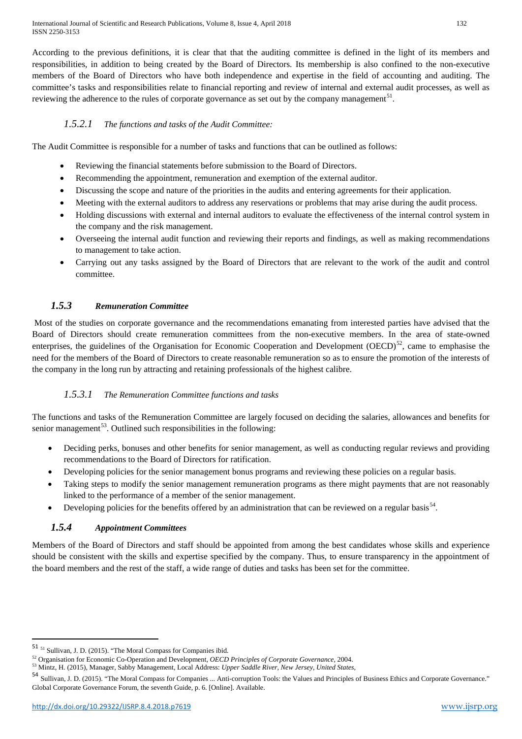International Journal of Scientific and Research Publications, Volume 8, Issue 4, April 2018 132 ISSN 2250-3153

According to the previous definitions, it is clear that that the auditing committee is defined in the light of its members and responsibilities, in addition to being created by the Board of Directors. Its membership is also confined to the non-executive members of the Board of Directors who have both independence and expertise in the field of accounting and auditing. The committee's tasks and responsibilities relate to financial reporting and review of internal and external audit processes, as well as reviewing the adherence to the rules of corporate governance as set out by the company management<sup>51</sup>.

# *1.5.2.1 The functions and tasks of the Audit Committee:*

The Audit Committee is responsible for a number of tasks and functions that can be outlined as follows:

- Reviewing the financial statements before submission to the Board of Directors.
- Recommending the appointment, remuneration and exemption of the external auditor.
- Discussing the scope and nature of the priorities in the audits and entering agreements for their application.
- Meeting with the external auditors to address any reservations or problems that may arise during the audit process.
- Holding discussions with external and internal auditors to evaluate the effectiveness of the internal control system in the company and the risk management.
- Overseeing the internal audit function and reviewing their reports and findings, as well as making recommendations to management to take action.
- Carrying out any tasks assigned by the Board of Directors that are relevant to the work of the audit and control committee.

# *1.5.3 Remuneration Committee*

Most of the studies on corporate governance and the recommendations emanating from interested parties have advised that the Board of Directors should create remuneration committees from the non-executive members. In the area of state-owned enterprises, the guidelines of the Organisation for Economic Cooperation and Development  $(OECD)^{52}$ , came to emphasise the need for the members of the Board of Directors to create reasonable remuneration so as to ensure the promotion of the interests of the company in the long run by attracting and retaining professionals of the highest calibre.

## *1.5.3.1 The Remuneration Committee functions and tasks*

The functions and tasks of the Remuneration Committee are largely focused on deciding the salaries, allowances and benefits for senior management<sup>53</sup>. Outlined such responsibilities in the following:

- Deciding perks, bonuses and other benefits for senior management, as well as conducting regular reviews and providing recommendations to the Board of Directors for ratification.
- Developing policies for the senior management bonus programs and reviewing these policies on a regular basis.
- Taking steps to modify the senior management remuneration programs as there might payments that are not reasonably linked to the performance of a member of the senior management.
- Developing policies for the benefits offered by an administration that can be reviewed on a regular basis<sup>54</sup>.

# *1.5.4 Appointment Committees*

Members of the Board of Directors and staff should be appointed from among the best candidates whose skills and experience should be consistent with the skills and expertise specified by the company. Thus, to ensure transparency in the appointment of the board members and the rest of the staff, a wide range of duties and tasks has been set for the committee.

<span id="page-12-3"></span> <sup>51</sup> <sup>51</sup> Sullivan, J. D. (2015). "The Moral Compass for Companies ibid.

<span id="page-12-0"></span><sup>52</sup> Organisation for Economic Co-Operation and Development, *OECD Principles of Corporate Governance*, 2004.

<span id="page-12-1"></span><sup>53</sup> Mintz, H. (2015), Manager, Sabby Management, Local Address: *Upper Saddle River, New Jersey, United States,* 

<span id="page-12-2"></span><sup>54</sup> Sullivan, J. D. (2015). "The Moral Compass for Companies ... Anti-corruption Tools: the Values and Principles of Business Ethics and Corporate Governance." Global Corporate Governance Forum, the seventh Guide, p. 6. [Online]. Available.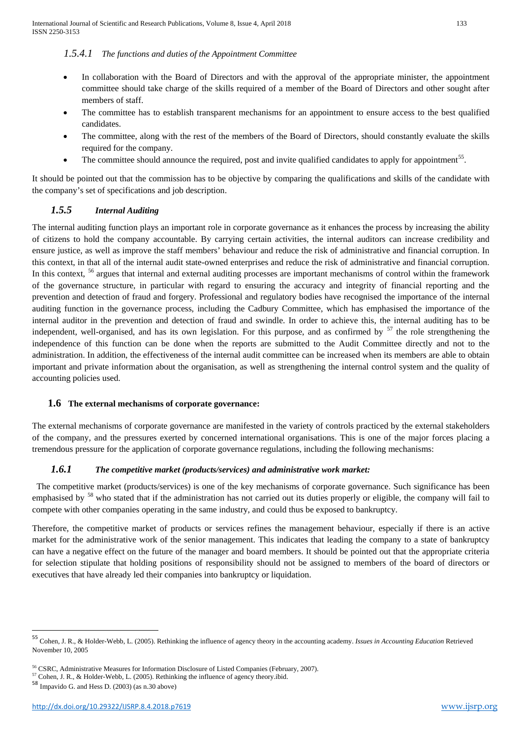## *1.5.4.1 The functions and duties of the Appointment Committee*

- In collaboration with the Board of Directors and with the approval of the appropriate minister, the appointment committee should take charge of the skills required of a member of the Board of Directors and other sought after members of staff.
- The committee has to establish transparent mechanisms for an appointment to ensure access to the best qualified candidates.
- The committee, along with the rest of the members of the Board of Directors, should constantly evaluate the skills required for the company.
- The committee should announce the required, post and invite qualified candidates to apply for appointment<sup>[55](#page-12-3)</sup>.

It should be pointed out that the commission has to be objective by comparing the qualifications and skills of the candidate with the company's set of specifications and job description.

# *1.5.5 Internal Auditing*

The internal auditing function plays an important role in corporate governance as it enhances the process by increasing the ability of citizens to hold the company accountable. By carrying certain activities, the internal auditors can increase credibility and ensure justice, as well as improve the staff members' behaviour and reduce the risk of administrative and financial corruption. In this context, in that all of the internal audit state-owned enterprises and reduce the risk of administrative and financial corruption. In this context, <sup>[56](#page-13-0)</sup> argues that internal and external auditing processes are important mechanisms of control within the framework of the governance structure, in particular with regard to ensuring the accuracy and integrity of financial reporting and the prevention and detection of fraud and forgery. Professional and regulatory bodies have recognised the importance of the internal auditing function in the governance process, including the Cadbury Committee, which has emphasised the importance of the internal auditor in the prevention and detection of fraud and swindle. In order to achieve this, the internal auditing has to be independent, well-organised, and has its own legislation. For this purpose, and as confirmed by <sup>[57](#page-13-1)</sup> the role strengthening the independence of this function can be done when the reports are submitted to the Audit Committee directly and not to the administration. In addition, the effectiveness of the internal audit committee can be increased when its members are able to obtain important and private information about the organisation, as well as strengthening the internal control system and the quality of accounting policies used.

# **1.6 The external mechanisms of corporate governance:**

The external mechanisms of corporate governance are manifested in the variety of controls practiced by the external stakeholders of the company, and the pressures exerted by concerned international organisations. This is one of the major forces placing a tremendous pressure for the application of corporate governance regulations, including the following mechanisms:

# *1.6.1 The competitive market (products/services) and administrative work market:*

 The competitive market (products/services) is one of the key mechanisms of corporate governance. Such significance has been emphasised by <sup>[58](#page-13-2)</sup> who stated that if the administration has not carried out its duties properly or eligible, the company will fail to compete with other companies operating in the same industry, and could thus be exposed to bankruptcy.

Therefore, the competitive market of products or services refines the management behaviour, especially if there is an active market for the administrative work of the senior management. This indicates that leading the company to a state of bankruptcy can have a negative effect on the future of the manager and board members. It should be pointed out that the appropriate criteria for selection stipulate that holding positions of responsibility should not be assigned to members of the board of directors or executives that have already led their companies into bankruptcy or liquidation.

<span id="page-13-3"></span> <sup>55</sup> Cohen, J. R., & Holder-Webb, L. (2005). Rethinking the influence of agency theory in the accounting academy. *Issues in Accounting Education* Retrieved November 10, 2005

<span id="page-13-0"></span><sup>56</sup> CSRC, Administrative Measures for Information Disclosure of Listed Companies (February, 2007).

<span id="page-13-1"></span> $57$  Cohen, J. R., & Holder-Webb, L. (2005). Rethinking the influence of agency theory.ibid.<br> $58$  Impavido G. and Hess D. (2003) (as n.30 above)

<span id="page-13-2"></span>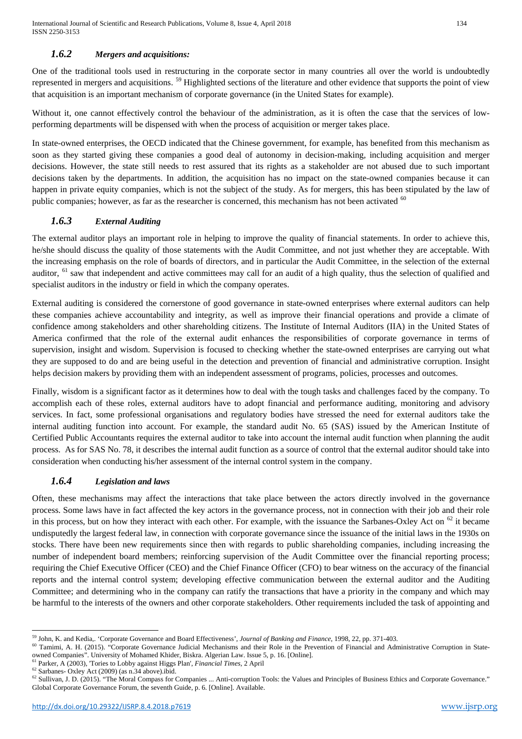# *1.6.2 Mergers and acquisitions:*

One of the traditional tools used in restructuring in the corporate sector in many countries all over the world is undoubtedly represented in mergers and acquisitions. [59](#page-13-3) Highlighted sections of the literature and other evidence that supports the point of view that acquisition is an important mechanism of corporate governance (in the United States for example).

Without it, one cannot effectively control the behaviour of the administration, as it is often the case that the services of lowperforming departments will be dispensed with when the process of acquisition or merger takes place.

In state-owned enterprises, the OECD indicated that the Chinese government, for example, has benefited from this mechanism as soon as they started giving these companies a good deal of autonomy in decision-making, including acquisition and merger decisions. However, the state still needs to rest assured that its rights as a stakeholder are not abused due to such important decisions taken by the departments. In addition, the acquisition has no impact on the state-owned companies because it can happen in private equity companies, which is not the subject of the study. As for mergers, this has been stipulated by the law of public companies; however, as far as the researcher is concerned, this mechanism has not been activated <sup>[60](#page-14-0)</sup>

## *1.6.3 External Auditing*

The external auditor plays an important role in helping to improve the quality of financial statements. In order to achieve this, he/she should discuss the quality of those statements with the Audit Committee, and not just whether they are acceptable. With the increasing emphasis on the role of boards of directors, and in particular the Audit Committee, in the selection of the external auditor, <sup>[61](#page-14-1)</sup> saw that independent and active committees may call for an audit of a high quality, thus the selection of qualified and specialist auditors in the industry or field in which the company operates.

External auditing is considered the cornerstone of good governance in state-owned enterprises where external auditors can help these companies achieve accountability and integrity, as well as improve their financial operations and provide a climate of confidence among stakeholders and other shareholding citizens. The Institute of Internal Auditors (IIA) in the United States of America confirmed that the role of the external audit enhances the responsibilities of corporate governance in terms of supervision, insight and wisdom. Supervision is focused to checking whether the state-owned enterprises are carrying out what they are supposed to do and are being useful in the detection and prevention of financial and administrative corruption. Insight helps decision makers by providing them with an independent assessment of programs, policies, processes and outcomes.

Finally, wisdom is a significant factor as it determines how to deal with the tough tasks and challenges faced by the company. To accomplish each of these roles, external auditors have to adopt financial and performance auditing, monitoring and advisory services. In fact, some professional organisations and regulatory bodies have stressed the need for external auditors take the internal auditing function into account. For example, the standard audit No. 65 (SAS) issued by the American Institute of Certified Public Accountants requires the external auditor to take into account the internal audit function when planning the audit process. As for SAS No. 78, it describes the internal audit function as a source of control that the external auditor should take into consideration when conducting his/her assessment of the internal control system in the company.

# *1.6.4 Legislation and laws*

Often, these mechanisms may affect the interactions that take place between the actors directly involved in the governance process. Some laws have in fact affected the key actors in the governance process, not in connection with their job and their role in this process, but on how they interact with each other. For example, with the issuance the Sarbanes-Oxley Act on <sup>[62](#page-14-2)</sup> it became undisputedly the largest federal law, in connection with corporate governance since the issuance of the initial laws in the 1930s on stocks. There have been new requirements since then with regards to public shareholding companies, including increasing the number of independent board members; reinforcing supervision of the Audit Committee over the financial reporting process; requiring the Chief Executive Officer (CEO) and the Chief Finance Officer (CFO) to bear witness on the accuracy of the financial reports and the internal control system; developing effective communication between the external auditor and the Auditing Committee; and determining who in the company can ratify the transactions that have a priority in the company and which may be harmful to the interests of the owners and other corporate stakeholders. Other requirements included the task of appointing and

<u>.</u>

<sup>59</sup> John, K. and Kedia,. 'Corporate Governance and Board Effectiveness', *Journal of Banking and Finance*, 1998, 22, pp. 371-403.

<span id="page-14-0"></span><sup>&</sup>lt;sup>60</sup> Tamimi, A. H. (2015). "Corporate Governance Judicial Mechanisms and their Role in the Prevention of Financial and Administrative Corruption in Stateowned Companies". University of Mohamed Khider, Biskra. Algerian Law. Issue 5, p. 16. [Online].

<sup>61</sup> Parker, A (2003), 'Tories to Lobby against Higgs Plan', *Financial Times,* 2 April

<span id="page-14-3"></span><span id="page-14-2"></span><span id="page-14-1"></span><sup>62</sup> Sarbanes- Oxley Act (2009) (as n.34 above).ibid.

<sup>&</sup>lt;sup>62</sup> Sullivan, J. D. (2015). "The Moral Compass for Companies ... Anti-corruption Tools: the Values and Principles of Business Ethics and Corporate Governance." Global Corporate Governance Forum, the seventh Guide, p. 6. [Online]. Available.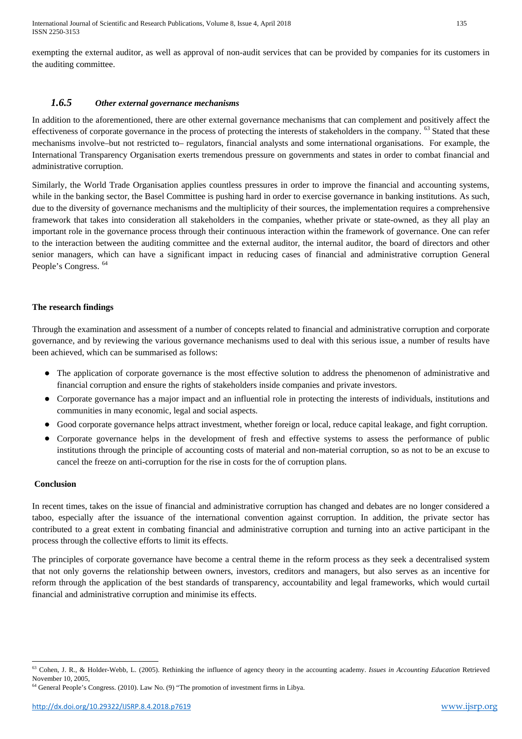International Journal of Scientific and Research Publications, Volume 8, Issue 4, April 2018 135 ISSN 2250-3153

exempting the external auditor, as well as approval of non-audit services that can be provided by companies for its customers in the auditing committee.

# *1.6.5 Other external governance mechanisms*

In addition to the aforementioned, there are other external governance mechanisms that can complement and positively affect the effectiveness of corporate governance in the process of protecting the interests of stakeholders in the company.  $^{63}$  $^{63}$  $^{63}$  Stated that these mechanisms involve–but not restricted to– regulators, financial analysts and some international organisations. For example, the International Transparency Organisation exerts tremendous pressure on governments and states in order to combat financial and administrative corruption.

Similarly, the World Trade Organisation applies countless pressures in order to improve the financial and accounting systems, while in the banking sector, the Basel Committee is pushing hard in order to exercise governance in banking institutions. As such, due to the diversity of governance mechanisms and the multiplicity of their sources, the implementation requires a comprehensive framework that takes into consideration all stakeholders in the companies, whether private or state-owned, as they all play an important role in the governance process through their continuous interaction within the framework of governance. One can refer to the interaction between the auditing committee and the external auditor, the internal auditor, the board of directors and other senior managers, which can have a significant impact in reducing cases of financial and administrative corruption General People's Congress. [64](#page-15-0)

## **The research findings**

Through the examination and assessment of a number of concepts related to financial and administrative corruption and corporate governance, and by reviewing the various governance mechanisms used to deal with this serious issue, a number of results have been achieved, which can be summarised as follows:

- The application of corporate governance is the most effective solution to address the phenomenon of administrative and financial corruption and ensure the rights of stakeholders inside companies and private investors.
- Corporate governance has a major impact and an influential role in protecting the interests of individuals, institutions and communities in many economic, legal and social aspects.
- Good corporate governance helps attract investment, whether foreign or local, reduce capital leakage, and fight corruption.
- Corporate governance helps in the development of fresh and effective systems to assess the performance of public institutions through the principle of accounting costs of material and non-material corruption, so as not to be an excuse to cancel the freeze on anti-corruption for the rise in costs for the of corruption plans.

#### **Conclusion**

 $\overline{a}$ 

In recent times, takes on the issue of financial and administrative corruption has changed and debates are no longer considered a taboo, especially after the issuance of the international convention against corruption. In addition, the private sector has contributed to a great extent in combating financial and administrative corruption and turning into an active participant in the process through the collective efforts to limit its effects.

The principles of corporate governance have become a central theme in the reform process as they seek a decentralised system that not only governs the relationship between owners, investors, creditors and managers, but also serves as an incentive for reform through the application of the best standards of transparency, accountability and legal frameworks, which would curtail financial and administrative corruption and minimise its effects.

<sup>63</sup> Cohen, J. R., & Holder-Webb, L. (2005). Rethinking the influence of agency theory in the accounting academy. *Issues in Accounting Education* Retrieved November 10, 2005,

<span id="page-15-0"></span> $<sup>64</sup>$  General People's Congress. (2010). Law No. (9) "The promotion of investment firms in Libya.</sup>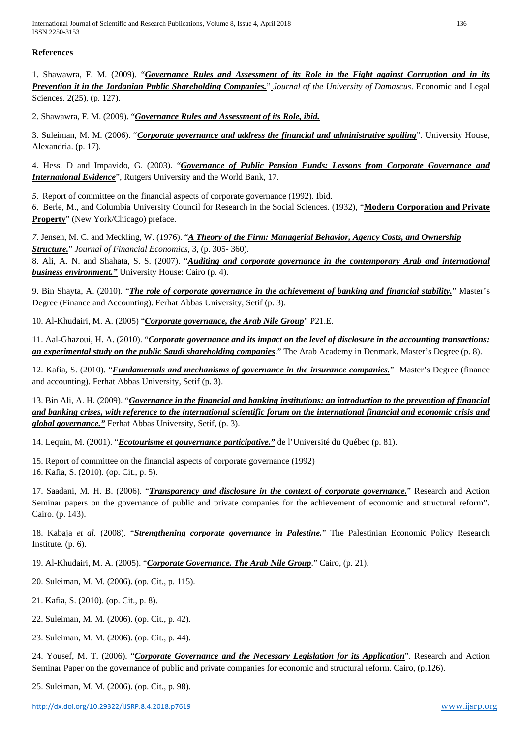International Journal of Scientific and Research Publications, Volume 8, Issue 4, April 2018 136 ISSN 2250-3153

## **References**

1. Shawawra, F. M. (2009). "*Governance Rules and Assessment of its Role in the Fight against Corruption and in its Prevention it in the Jordanian Public Shareholding Companies.*" *Journal of the University of Damascus*. Economic and Legal Sciences. 2(25), (p. 127).

2. Shawawra, F. M. (2009). "*Governance Rules and Assessment of its Role, ibid.*

3. Suleiman, M. M. (2006). "*Corporate governance and address the financial and administrative spoiling*". University House, Alexandria. (p. 17).

4. Hess, D and Impavido, G. (2003). "*Governance of Public Pension Funds: Lessons from Corporate Governance and International Evidence*", Rutgers University and the World Bank, 17.

*5.* Report of committee on the financial aspects of corporate governance (1992). Ibid.

*6.* Berle, M., and Columbia University Council for Research in the Social Sciences. (1932), "**Modern Corporation and Private Property**" (New York/Chicago) preface.

*7.* Jensen, M. C. and Meckling, W. (1976). "*A Theory of the Firm: Managerial Behavior, Agency Costs, and Ownership Structure.*" *Journal of Financial Economics,* 3, (p. 305- 360). 8. Ali, A. N. and Shahata, S. S. (2007). "*Auditing and corporate governance in the contemporary Arab and international business environment."* University House: Cairo (p. 4).

9. Bin Shayta, A. (2010). "*The role of corporate governance in the achievement of banking and financial stability.*" Master's Degree (Finance and Accounting). Ferhat Abbas University, Setif (p. 3).

10. Al-Khudairi, M. A. (2005) "*Corporate governance, the Arab Nile Group*" P21.E.

11. Aal-Ghazoui, H. A. (2010). "*Corporate governance and its impact on the level of disclosure in the accounting transactions: an experimental study on the public Saudi shareholding companies*." The Arab Academy in Denmark. Master's Degree (p. 8).

12. Kafia, S. (2010). "*Fundamentals and mechanisms of governance in the insurance companies.*" Master's Degree (finance and accounting). Ferhat Abbas University, Setif (p. 3).

13. Bin Ali, A. H. (2009). "*Governance in the financial and banking institutions: an introduction to the prevention of financial and banking crises, with reference to the international scientific forum on the international financial and economic crisis and global governance."* Ferhat Abbas University, Setif, (p. 3).

14. Lequin, M. (2001). "*Ecotourisme et gouvernance participative."* de l'Université du Québec (p. 81).

15. Report of committee on the financial aspects of corporate governance (1992)

16. Kafia, S. (2010). (op. Cit., p. 5).

17. Saadani, M. H. B. (2006). "*Transparency and disclosure in the context of corporate governance.*" Research and Action Seminar papers on the governance of public and private companies for the achievement of economic and structural reform". Cairo. (p. 143).

18. Kabaja *et al.* (2008). "*Strengthening corporate governance in Palestine.*" The Palestinian Economic Policy Research Institute. (p. 6).

19. Al-Khudairi, M. A. (2005). "*Corporate Governance. The Arab Nile Group*." Cairo, (p. 21).

20. Suleiman, M. M. (2006). (op. Cit., p. 115).

21. Kafia, S. (2010). (op. Cit., p. 8).

22. Suleiman, M. M. (2006). (op. Cit., p. 42).

23. Suleiman, M. M. (2006). (op. Cit., p. 44).

24. Yousef, M. T. (2006). "*Corporate Governance and the Necessary Legislation for its Application*". Research and Action Seminar Paper on the governance of public and private companies for economic and structural reform. Cairo, (p.126).

25. Suleiman, M. M. (2006). (op. Cit., p. 98).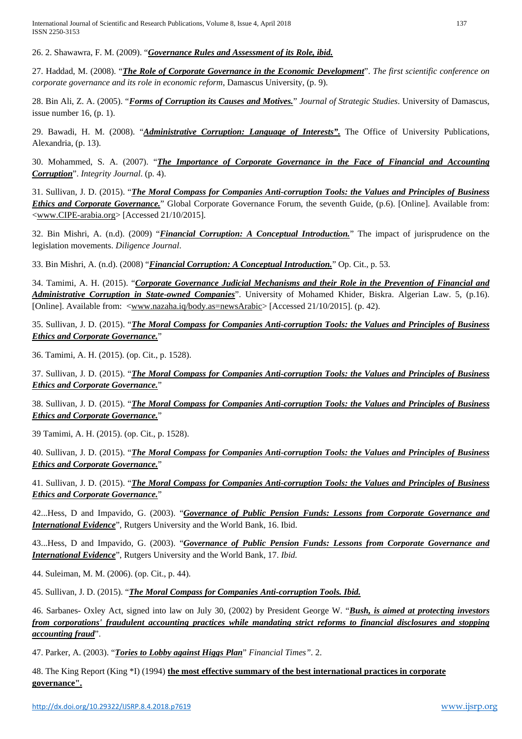International Journal of Scientific and Research Publications, Volume 8, Issue 4, April 2018 137 ISSN 2250-3153

26. 2. Shawawra, F. M. (2009). "*Governance Rules and Assessment of its Role, ibid.*

27. Haddad, M. (2008). "*The Role of Corporate Governance in the Economic Development*". *The first scientific conference on corporate governance and its role in economic reform*, Damascus University, (p. 9).

28. Bin Ali, Z. A. (2005). "*Forms of Corruption its Causes and Motives.*" *Journal of Strategic Studies*. University of Damascus, issue number 16,  $(p, 1)$ .

29. Bawadi, H. M. (2008). "*Administrative Corruption: Language of Interests".* The Office of University Publications, Alexandria, (p. 13).

30. Mohammed, S. A. (2007). "*The Importance of Corporate Governance in the Face of Financial and Accounting Corruption*". *Integrity Journal*. (p. 4).

31. Sullivan, J. D. (2015). "*The Moral Compass for Companies Anti-corruption Tools: the Values and Principles of Business Ethics and Corporate Governance.*" Global Corporate Governance Forum, the seventh Guide, (p.6). [Online]. Available from: [<www.CIPE-arabia.org>](http://www.cipe-arabia.org/) [Accessed 21/10/2015].

32. Bin Mishri, A. (n.d). (2009) "*Financial Corruption: A Conceptual Introduction.*" The impact of jurisprudence on the legislation movements. *Diligence Journal*.

33. Bin Mishri, A. (n.d). (2008) "*Financial Corruption: A Conceptual Introduction.*" Op. Cit., p. 53.

34. Tamimi, A. H. (2015). "*Corporate Governance Judicial Mechanisms and their Role in the Prevention of Financial and Administrative Corruption in State-owned Companies*". University of Mohamed Khider, Biskra. Algerian Law. 5, (p.16). [Online]. Available from: [<www.nazaha.iq/body.as=newsArabic>](http://www.nazaha.iq/body.as=newsArabic) [Accessed 21/10/2015]. (p. 42).

35. Sullivan, J. D. (2015). "*The Moral Compass for Companies Anti-corruption Tools: the Values and Principles of Business Ethics and Corporate Governance.*"

36. Tamimi, A. H. (2015). (op. Cit., p. 1528).

37. Sullivan, J. D. (2015). "*The Moral Compass for Companies Anti-corruption Tools: the Values and Principles of Business Ethics and Corporate Governance.*"

38. Sullivan, J. D. (2015). "*The Moral Compass for Companies Anti-corruption Tools: the Values and Principles of Business Ethics and Corporate Governance.*"

39 Tamimi, A. H. (2015). (op. Cit., p. 1528).

40. Sullivan, J. D. (2015). "*The Moral Compass for Companies Anti-corruption Tools: the Values and Principles of Business Ethics and Corporate Governance.*"

41. Sullivan, J. D. (2015). "*The Moral Compass for Companies Anti-corruption Tools: the Values and Principles of Business Ethics and Corporate Governance.*"

42...Hess, D and Impavido, G. (2003). "*Governance of Public Pension Funds: Lessons from Corporate Governance and International Evidence*", Rutgers University and the World Bank, 16. Ibid.

43...Hess, D and Impavido, G. (2003). "*Governance of Public Pension Funds: Lessons from Corporate Governance and International Evidence*", Rutgers University and the World Bank, 17. *Ibid.*

44. Suleiman, M. M. (2006). (op. Cit., p. 44).

45. Sullivan, J. D. (2015). "*The Moral Compass for Companies Anti-corruption Tools. Ibid.*

46. Sarbanes- Oxley Act, signed into law on July 30, (2002) by President George W. "*Bush, is aimed at protecting investors from corporations' fraudulent accounting practices while mandating strict reforms to financial disclosures and stopping accounting fraud*".

47. Parker, A. (2003). "*Tories to Lobby against Higgs Plan*" *Financial Times".* 2.

48. The King Report (King \*I) (1994) **the most effective summary of the best international practices in corporate governance".**